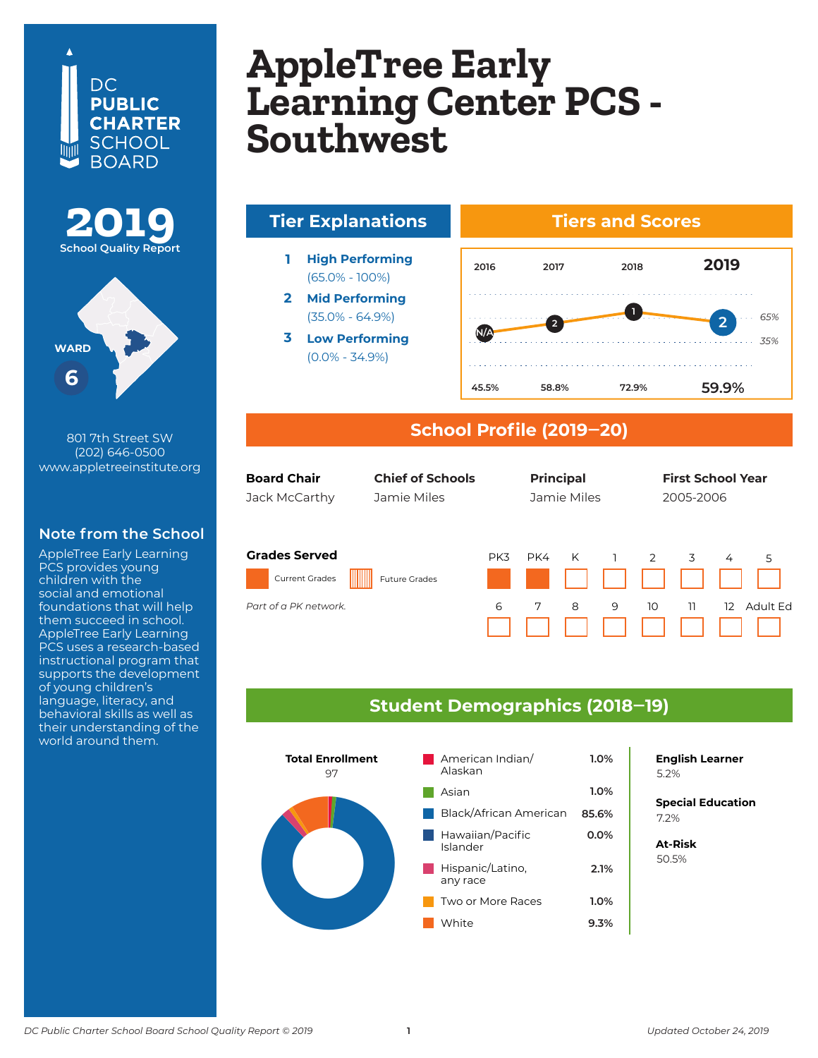## DC. **PUBLIC CHARTER** SCHOOL **BOARD**





801 7th Street SW (202) 646-0500 www.appletreeinstitute.org

### **Note from the School**

AppleTree Early Learning PCS provides young children with the social and emotional foundations that will help them succeed in school. AppleTree Early Learning PCS uses a research-based instructional program that supports the development of young children's language, literacy, and behavioral skills as well as their understanding of the world around them.

#### **AppleTree Early Learning Center Soutnwest AppleTree Early Learning Center PCS - Southwest**



#### **School Profile (2019‒20)**

| g  | <b>Board Chair</b><br><b>Chief of Schools</b><br>Jamie Miles<br>Jack McCarthy |                      |     |     | <b>Principal</b><br>Jamie Miles |   |    | <b>First School Year</b><br>2005-2006 |                   |          |
|----|-------------------------------------------------------------------------------|----------------------|-----|-----|---------------------------------|---|----|---------------------------------------|-------------------|----------|
| ٦L | <b>Grades Served</b>                                                          |                      | PK3 | PK4 | K                               |   | 2  | 3                                     | 4                 | 5        |
|    | <b>Current Grades</b>                                                         | <b>Future Grades</b> |     |     |                                 |   |    |                                       |                   |          |
|    | Part of a PK network.                                                         |                      | 6   | 7   | 8                               | 9 | 10 | 11                                    | $12 \overline{ }$ | Adult Ed |

#### **Student Demographics (2018‒19)**



**English Learner**

*65% 35%*

**2**

**Special Education** 6.2% 7.2%

**At-Risk** 37.0% 50.5%